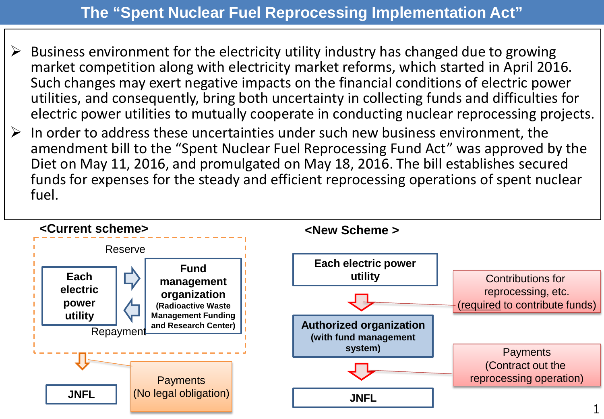## **The "Spent Nuclear Fuel Reprocessing Implementation Act"**

- $\triangleright$  Business environment for the electricity utility industry has changed due to growing market competition along with electricity market reforms, which started in April 2016. Such changes may exert negative impacts on the financial conditions of electric power utilities, and consequently, bring both uncertainty in collecting funds and difficulties for electric power utilities to mutually cooperate in conducting nuclear reprocessing projects.
- $\triangleright$  In order to address these uncertainties under such new business environment, the amendment bill to the "Spent Nuclear Fuel Reprocessing Fund Act" was approved by the Diet on May 11, 2016, and promulgated on May 18, 2016. The bill establishes secured funds for expenses for the steady and efficient reprocessing operations of spent nuclear fuel.

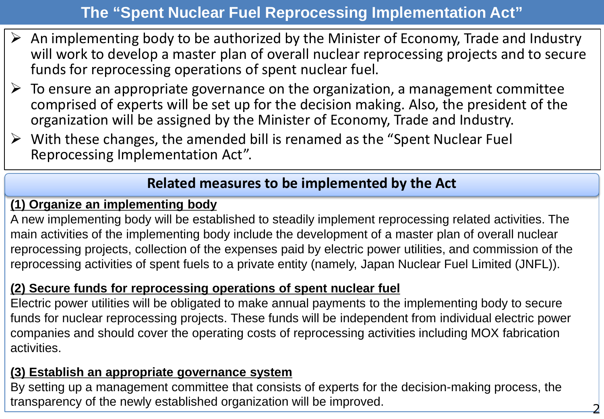## **The "Spent Nuclear Fuel Reprocessing Implementation Act"**

- $\triangleright$  An implementing body to be authorized by the Minister of Economy, Trade and Industry will work to develop a master plan of overall nuclear reprocessing projects and to secure funds for reprocessing operations of spent nuclear fuel.
- $\triangleright$  To ensure an appropriate governance on the organization, a management committee comprised of experts will be set up for the decision making. Also, the president of the organization will be assigned by the Minister of Economy, Trade and Industry.
- $\triangleright$  With these changes, the amended bill is renamed as the "Spent Nuclear Fuel" Reprocessing Implementation Act".

### **Related measures to be implemented by the Act**

#### **(1) Organize an implementing body**

A new implementing body will be established to steadily implement reprocessing related activities. The main activities of the implementing body include the development of a master plan of overall nuclear reprocessing projects, collection of the expenses paid by electric power utilities, and commission of the reprocessing activities of spent fuels to a private entity (namely, Japan Nuclear Fuel Limited (JNFL)).

#### **(2) Secure funds for reprocessing operations of spent nuclear fuel**

Electric power utilities will be obligated to make annual payments to the implementing body to secure funds for nuclear reprocessing projects. These funds will be independent from individual electric power companies and should cover the operating costs of reprocessing activities including MOX fabrication activities.

#### **(3) Establish an appropriate governance system**

By setting up a management committee that consists of experts for the decision-making process, the transparency of the newly established organization will be improved. <sup>2</sup>